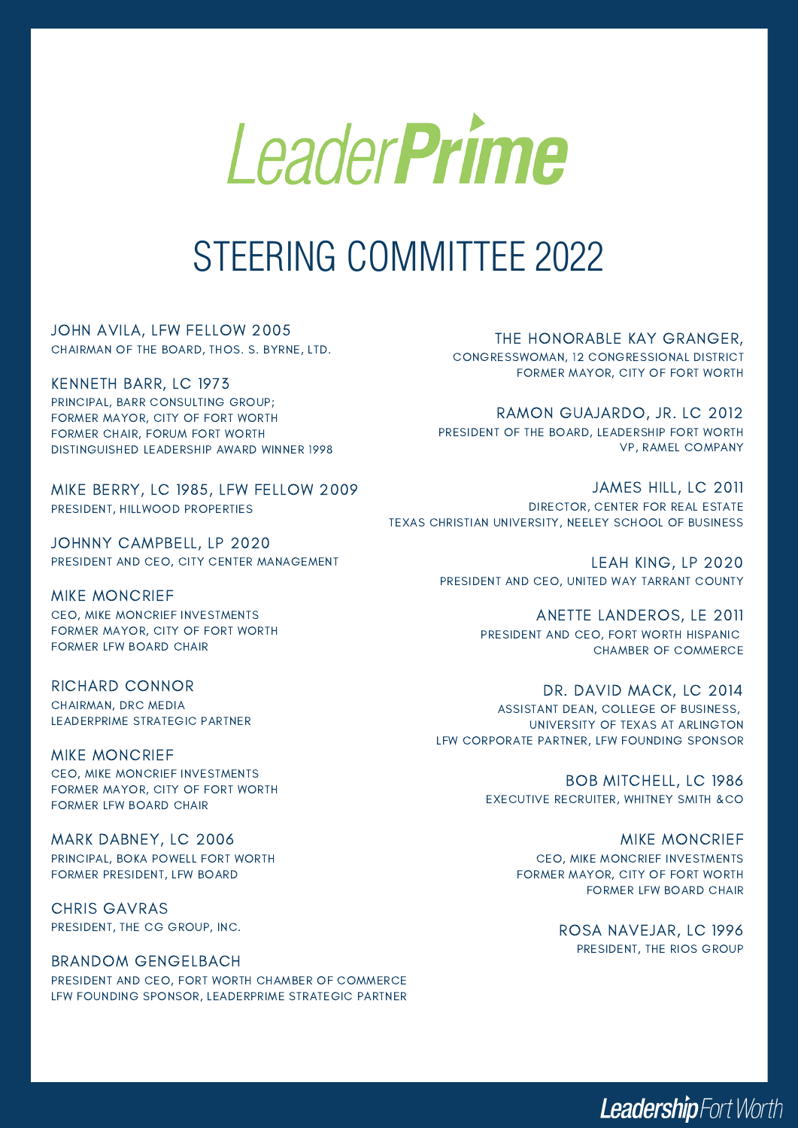

## STEERING COMMITTEE 2022

JOHN AVILA, LFW FELLOW 2005 CHAIRMAN OF THE BOARD, THOS. S. BYRNE, LTD.

KENNETH BARR, LC 1973 PRINCIPAL, BARR CONSULTING GROUP; FORMER MAYOR, CITY OF FORT WORTH FORMER CHAIR, FORUM FORT WORTH DISTINGUISHED LEADERSHIP AWARD WINNER 1998

MIKE BERRY, LC 1985, LFW FELLOW 2009 PRESIDENT, HILLWOOD PROPERTIES

JOHNNY CAMPBELL, LP 2020 PRESIDENT AND CEO, CITY CENTER MANAGEMENT

MIKE MONCRIEF CEO, MIKE MONCRIEF INVESTMENTS FORMER MAYOR, CITY OF FORT WORTH FORMER LFW BOARD CHAIR

RICHARD CONNOR CHAIRMAN, DRC MEDIA LEADERPRIME STRATEGIC PARTNER

MIKE MONCRIEF CEO, MIKE MONCRIEF INVESTMENTS FORMER MAYOR, CITY OF FORT WORTH FORMER LFW BOARD CHAIR

MARK DABNEY, LC 2006 PRINCIPAL, BOKA POWELL FORT WORTH FORMER PRESIDENT, LFW BOARD

CHRIS GAVRAS PRESIDENT, THE CG GROUP, INC.

BRANDOM GENGELBACH PRESIDENT AND CEO, FORT WORTH CHAMBER OF COMMERCE LFW FOUNDING SPONSOR, LEADERPRIME STRATEGIC PARTNER THE HONORABLE KAY GRANGER,

CONGRESSWOMAN, 12 CONGRESSIONAL DISTRICT FORMER MAYOR, CITY OF FORT WORTH

RAMON GUAJARDO, JR. LC 2012 PRESIDENT OF THE BOARD, LEADERSHIP FORT WORTH VP, RAMEL COMPANY

JAMES HILL, LC 2011 DIRECTOR, CENTER FOR REAL ESTATE TEXAS CHRISTIAN UNIVERSITY, NEELEY SCHOOL OF BUSINESS

> LEAH KING, LP 2020 PRESIDENT AND CEO, UNITED WAY TARRANT COUNTY

> > ANETTE LANDEROS, LE 2011 PRESIDENT AND CEO, FORT WORTH HISPANIC CHAMBER OF COMMERCE

DR. DAVID MACK, LC 2014 ASSISTANT DEAN, COLLEGE OF BUSINESS, UNIVERSITY OF TEXAS AT ARLINGTON LFW CORPORATE PARTNER, LFW FOUNDING SPONSOR

> BOB MITCHELL, LC 1986 EXECUTIVE RECRUITER, WHITNEY SMITH &CO

> > MIKE MONCRIEF CEO, MIKE MONCRIEF INVESTMENTS FORMER MAYOR, CITY OF FORT WORTH FORMER LFW BOARD CHAIR

> > > ROSA NAVEJAR, LC 1996 PRESIDENT, THE RIOS GROUP

> > > > Leadership Fort Worth